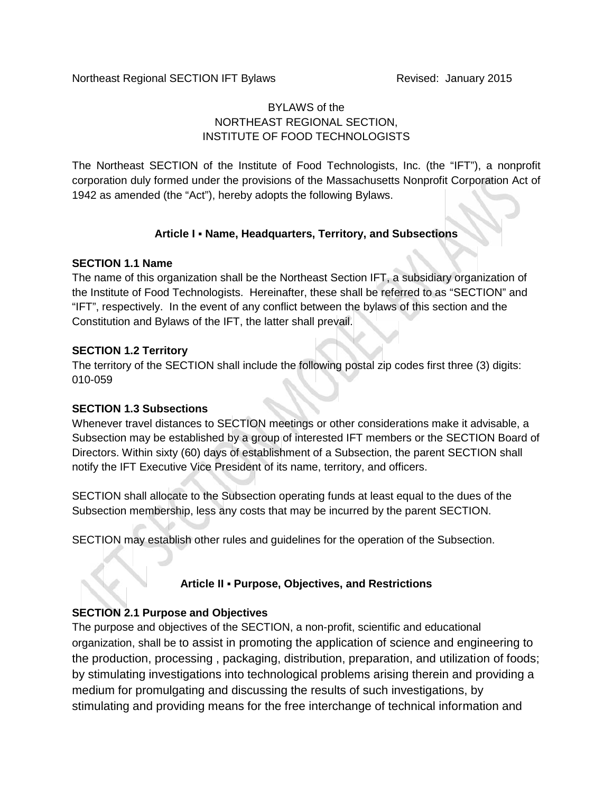# BYLAWS of the NORTHEAST REGIONAL SECTION, INSTITUTE OF FOOD TECHNOLOGISTS

The Northeast SECTION of the Institute of Food Technologists, Inc. (the "IFT"), a nonprofit corporation duly formed under the provisions of the Massachusetts Nonprofit Corporation Act of 1942 as amended (the "Act"), hereby adopts the following Bylaws.

# **Article I Name, Headquarters, Territory, and Subsections**

#### **SECTION 1.1 Name**

The name of this organization shall be the Northeast Section IFT, a subsidiary organization of the Institute of Food Technologists. Hereinafter, these shall be referred to as "SECTION" and "IFT", respectively. In the event of any conflict between the bylaws of this section and the Constitution and Bylaws of the IFT, the latter shall prevail.

#### **SECTION 1.2 Territory**

The territory of the SECTION shall include the following postal zip codes first three (3) digits: 010-059

#### **SECTION 1.3 Subsections**

Whenever travel distances to SECTION meetings or other considerations make it advisable, a Subsection may be established by a group of interested IFT members or the SECTION Board of Directors. Within sixty (60) days of establishment of a Subsection, the parent SECTION shall notify the IFT Executive Vice President of its name, territory, and officers.

SECTION shall allocate to the Subsection operating funds at least equal to the dues of the Subsection membership, less any costs that may be incurred by the parent SECTION.

SECTION may establish other rules and guidelines for the operation of the Subsection.

#### **Article II Purpose, Objectives, and Restrictions**

#### **SECTION 2.1 Purpose and Objectives**

The purpose and objectives of the SECTION, a non-profit, scientific and educational organization, shall be to assist in promoting the application of science and engineering to the production, processing , packaging, distribution, preparation, and utilization of foods; by stimulating investigations into technological problems arising therein and providing a medium for promulgating and discussing the results of such investigations, by stimulating and providing means for the free interchange of technical information and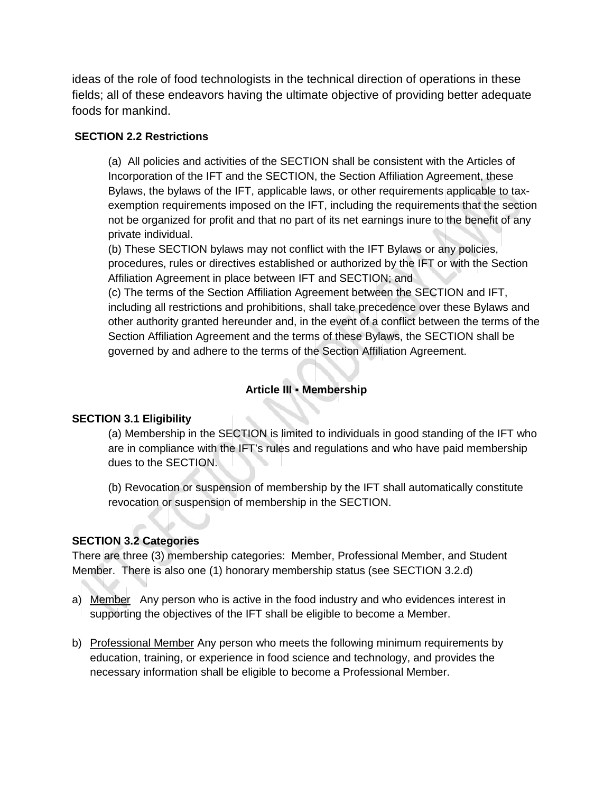ideas of the role of food technologists in the technical direction of operations in these fields; all of these endeavors having the ultimate objective of providing better adequate foods for mankind.

## **SECTION 2.2 Restrictions**

(a) All policies and activities of the SECTION shall be consistent with the Articles of Incorporation of the IFT and the SECTION, the Section Affiliation Agreement, these Bylaws, the bylaws of the IFT, applicable laws, or other requirements applicable to tax exemption requirements imposed on the IFT, including the requirements that the section not be organized for profit and that no part of its net earnings inure to the benefit of any private individual.

(b) These SECTION bylaws may not conflict with the IFT Bylaws or any policies, procedures, rules or directives established or authorized by the IFT or with the Section Affiliation Agreement in place between IFT and SECTION; and

(c) The terms of the Section Affiliation Agreement between the SECTION and IFT, including all restrictions and prohibitions, shall take precedence over these Bylaws and other authority granted hereunder and, in the event of a conflict between the terms of the Section Affiliation Agreement and the terms of these Bylaws, the SECTION shall be governed by and adhere to the terms of the Section Affiliation Agreement.

# **Article III Membership**

#### **SECTION 3.1 Eligibility**

(a) Membership in the SECTION is limited to individuals in good standing of the IFT who are in compliance with the IFT's rules and regulations and who have paid membership dues to the SECTION.

(b) Revocation or suspension of membership by the IFT shall automatically constitute revocation or suspension of membership in the SECTION.

#### **SECTION 3.2 Categories**

There are three (3) membership categories: Member, Professional Member, and Student Member. There is also one (1) honorary membership status (see SECTION 3.2.d)

- a) Member Any person who is active in the food industry and who evidences interest in supporting the objectives of the IFT shall be eligible to become a Member.
- b) Professional Member Any person who meets the following minimum requirements by education, training, or experience in food science and technology, and provides the necessary information shall be eligible to become a Professional Member.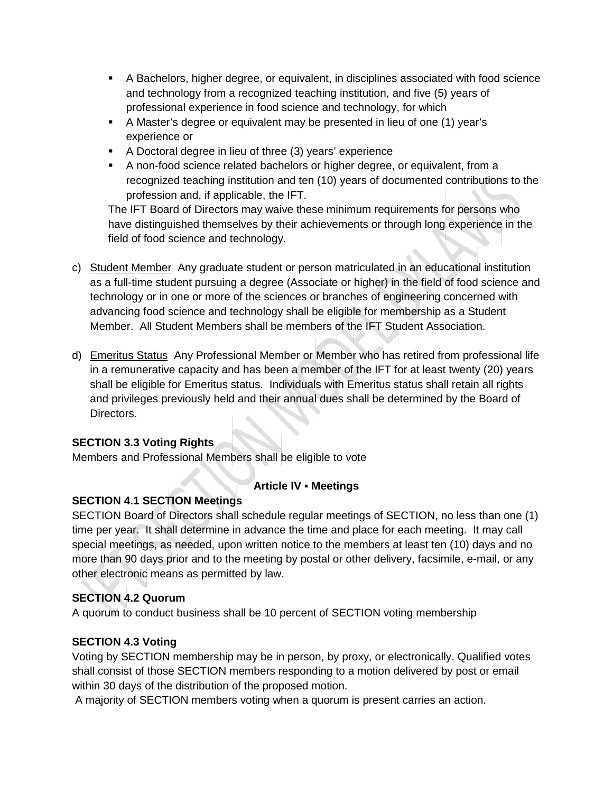- A Bachelors, higher degree, or equivalent, in disciplines associated with food science and technology from a recognized teaching institution, and five (5) years of professional experience in food science and technology, for which
- A Master's degree or equivalent may be presented in lieu of one (1) year's experience or
- A Doctoral degree in lieu of three (3) years' experience
- A non-food science related bachelors or higher degree, or equivalent, from a recognized teaching institution and ten (10) years of documented contributions to the profession and, if applicable, the IFT.<br>The IFT Board of Directors may waive these minimum requirements for persons who

have distinguished themselves by their achievements or through long experience in the field of food science and technology.

- c) Student Member Any graduate student or person matriculated in an educational institution as a full-time student pursuing a degree (Associate or higher) in the field of food science and technology or in one or more of the sciences or branches of engineering concerned with advancing food science and technology shall be eligible for membership as a Student Member. All Student Members shall be members of the IFT Student Association.
- d) Emeritus Status Any Professional Member or Member who has retired from professional life in a remunerative capacity and has been a member of the IFT for at least twenty (20) years shall be eligible for Emeritus status. Individuals with Emeritus status shall retain all rights and privileges previously held and their annual dues shall be determined by the Board of Directors.

# **SECTION 3.3 Voting Rights**

Members and Professional Members shall be eligible to vote

# **Article IV Meetings**

# **SECTION 4.1 SECTION Meetings**

SECTION Board of Directors shall schedule regular meetings of SECTION, no less than one (1) time per year. It shall determine in advance the time and place for each meeting. It may call special meetings, as needed, upon written notice to the members at least ten (10) days and no more than 90 days prior and to the meeting by postal or other delivery, facsimile, e-mail, or any other electronic means as permitted by law.

# **SECTION 4.2 Quorum**

A quorum to conduct business shall be 10 percent of SECTION voting membership

# **SECTION 4.3 Voting**

Voting by SECTION membership may be in person, by proxy, or electronically. Qualified votes shall consist of those SECTION members responding to a motion delivered by post or email within 30 days of the distribution of the proposed motion.

A majority of SECTION members voting when a quorum is present carries an action.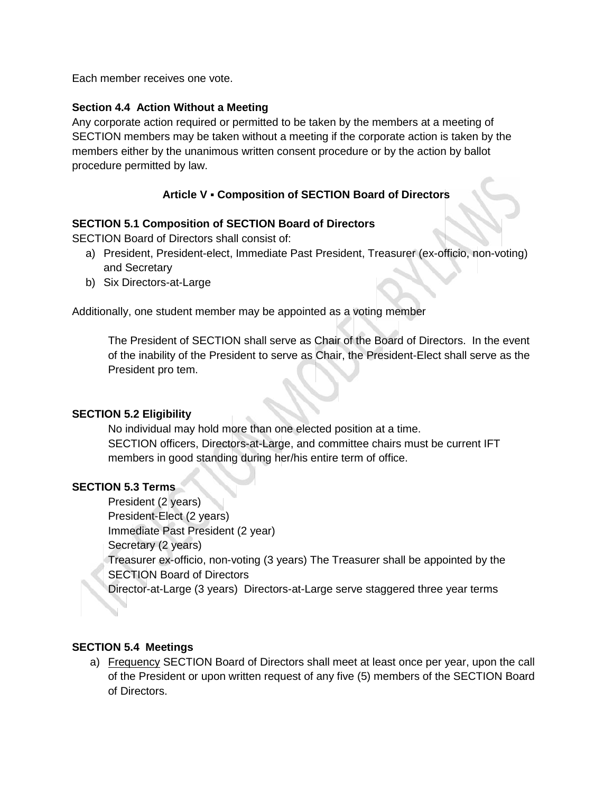Each member receives one vote.

### **Section 4.4 Action Without a Meeting**

Any corporate action required or permitted to be taken by the members at a meeting of SECTION members may be taken without a meeting if the corporate action is taken by the members either by the unanimous written consent procedure or by the action by ballot procedure permitted by law.

# **Article V Composition of SECTION Board of Directors**

#### **SECTION 5.1 Composition of SECTION Board of Directors**

SECTION Board of Directors shall consist of:

- a) President, President-elect, Immediate Past President, Treasurer (ex-officio, non-voting) and Secretary
- b) Six Directors-at-Large

Additionally, one student member may be appointed as a voting member

The President of SECTION shall serve as Chair of the Board of Directors. In the event of the inability of the President to serve as Chair, the President-Elect shall serve as the President pro tem.

#### **SECTION 5.2 Eligibility**

No individual may hold more than one elected position at a time. SECTION officers, Directors-at-Large, and committee chairs must be current IFT members in good standing during her/his entire term of office.

#### **SECTION 5.3 Terms**

President (2 years) President-Elect (2 years) Immediate Past President (2 year) Secretary (2 years) Treasurer ex-officio, non-voting (3 years) The Treasurer shall be appointed by the SECTION Board of Directors Director-at-Large (3 years) Directors-at-Large serve staggered three year terms

#### **SECTION 5.4 Meetings**

a) Frequency SECTION Board of Directors shall meet at least once per year, upon the call of the President or upon written request of any five (5) members of the SECTION Board of Directors.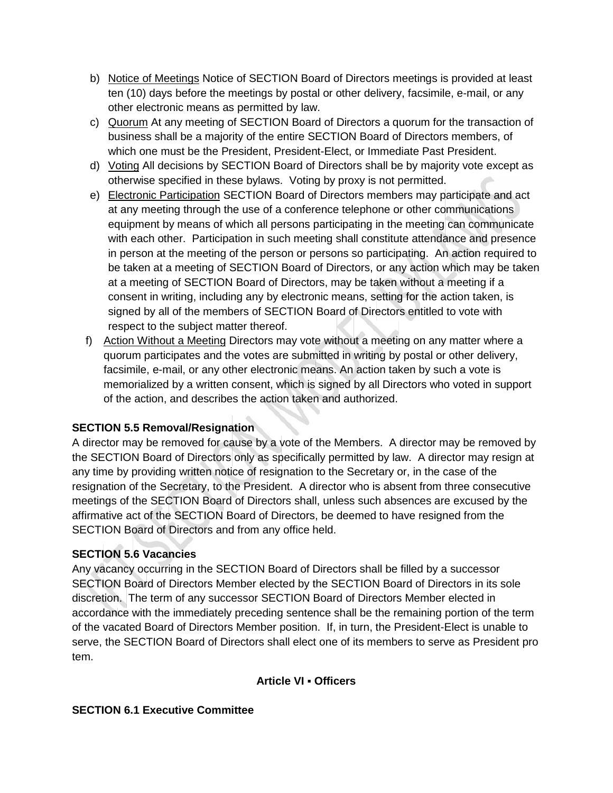- b) Notice of Meetings Notice of SECTION Board of Directors meetings is provided at least ten (10) days before the meetings by postal or other delivery, facsimile, e-mail, or any other electronic means as permitted by law.
- c) Quorum At any meeting of SECTION Board of Directors a quorum for the transaction of business shall be a majority of the entire SECTION Board of Directors members, of which one must be the President, President-Elect, or Immediate Past President.
- d) Voting All decisions by SECTION Board of Directors shall be by majority vote except as otherwise specified in these bylaws. Voting by proxy is not permitted.
- e) Electronic Participation SECTION Board of Directors members may participate and act at any meeting through the use of a conference telephone or other communications equipment by means of which all persons participating in the meeting can communicate with each other. Participation in such meeting shall constitute attendance and presence in person at the meeting of the person or persons so participating. An action required to be taken at a meeting of SECTION Board of Directors, or any action which may be taken at a meeting of SECTION Board of Directors, may be taken without a meeting if a consent in writing, including any by electronic means, setting for the action taken, is signed by all of the members of SECTION Board of Directors entitled to vote with respect to the subject matter thereof.
- f) Action Without a Meeting Directors may vote without a meeting on any matter where a quorum participates and the votes are submitted in writing by postal or other delivery, facsimile, e-mail, or any other electronic means. An action taken by such a vote is memorialized by a written consent, which is signed by all Directors who voted in support of the action, and describes the action taken and authorized.

# **SECTION 5.5 Removal/Resignation**

A director may be removed for cause by a vote of the Members. A director may be removed by the SECTION Board of Directors only as specifically permitted by law. A director may resign at any time by providing written notice of resignation to the Secretary or, in the case of the resignation of the Secretary, to the President. A director who is absent from three consecutive meetings of the SECTION Board of Directors shall, unless such absences are excused by the affirmative act of the SECTION Board of Directors, be deemed to have resigned from the SECTION Board of Directors and from any office held.

# **SECTION 5.6 Vacancies**

Any vacancy occurring in the SECTION Board of Directors shall be filled by a successor SECTION Board of Directors Member elected by the SECTION Board of Directors in its sole discretion. The term of any successor SECTION Board of Directors Member elected in accordance with the immediately preceding sentence shall be the remaining portion of the term of the vacated Board of Directors Member position. If, in turn, the President-Elect is unable to serve, the SECTION Board of Directors shall elect one of its members to serve as President pro tem.

# **Article VI Officers**

# **SECTION 6.1 Executive Committee**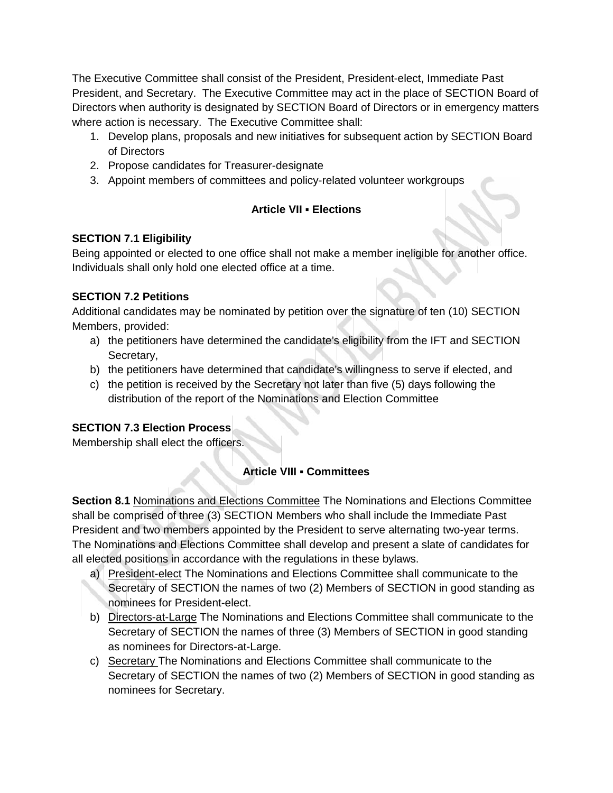The Executive Committee shall consist of the President, President-elect, Immediate Past President, and Secretary. The Executive Committee may act in the place of SECTION Board of Directors when authority is designated by SECTION Board of Directors or in emergency matters where action is necessary. The Executive Committee shall:

- 1. Develop plans, proposals and new initiatives for subsequent action by SECTION Board of Directors
- 2. Propose candidates for Treasurer-designate
- 3. Appoint members of committees and policy-related volunteer workgroups

# **Article VII Elections**

# **SECTION 7.1 Eligibility**

Being appointed or elected to one office shall not make a member ineligible for another office. Individuals shall only hold one elected office at a time.

# **SECTION 7.2 Petitions**

Additional candidates may be nominated by petition over the signature of ten (10) SECTION Members, provided:

- a) the petitioners have determined the candidate's eligibility from the IFT and SECTION Secretary,
- b) the petitioners have determined that candidate's willingness to serve if elected, and
- c) the petition is received by the Secretary not later than five (5) days following the distribution of the report of the Nominations and Election Committee

# **SECTION 7.3 Election Process**

Membership shall elect the officers.

# **Article VIII Committees**

**Section 8.1** Nominations and Elections Committee The Nominations and Elections Committee shall be comprised of three (3) SECTION Members who shall include the Immediate Past President and two members appointed by the President to serve alternating two-year terms. The Nominations and Elections Committee shall develop and present a slate of candidates for all elected positions in accordance with the regulations in these bylaws.

- a) President-elect The Nominations and Elections Committee shall communicate to the Secretary of SECTION the names of two (2) Members of SECTION in good standing as nominees for President-elect.
- b) Directors-at-Large The Nominations and Elections Committee shall communicate to the Secretary of SECTION the names of three (3) Members of SECTION in good standing as nominees for Directors-at-Large.
- c) Secretary The Nominations and Elections Committee shall communicate to the Secretary of SECTION the names of two (2) Members of SECTION in good standing as nominees for Secretary.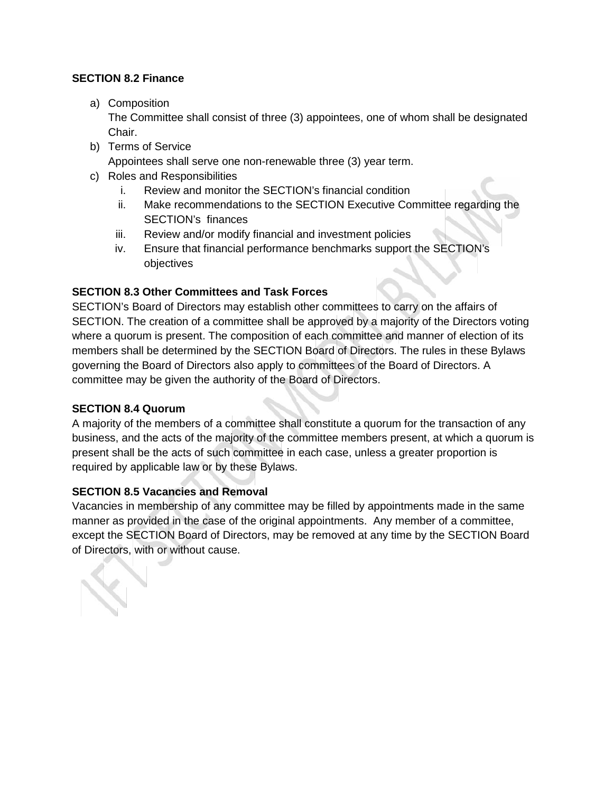## **SECTION 8.2 Finance**

a) Composition

The Committee shall consist of three (3) appointees, one of whom shall be designated Chair.

- b) Terms of Service Appointees shall serve one non-renewable three (3) year term.
- c) Roles and Responsibilities
	- i. Review and monitor the SECTION's financial condition
	- ii. Make recommendations to the SECTION Executive Committee regarding the SECTION's finances
	- iii. Review and/or modify financial and investment policies
	- iv. Ensure that financial performance benchmarks support the SECTION's objectives

## **SECTION 8.3 Other Committees and Task Forces**

SECTION's Board of Directors may establish other committees to carry on the affairs of SECTION. The creation of a committee shall be approved by a majority of the Directors voting where a quorum is present. The composition of each committee and manner of election of its members shall be determined by the SECTION Board of Directors. The rules in these Bylaws governing the Board of Directors also apply to committees of the Board of Directors. A committee may be given the authority of the Board of Directors.

#### **SECTION 8.4 Quorum**

A majority of the members of a committee shall constitute a quorum for the transaction of any business, and the acts of the majority of the committee members present, at which a quorum is present shall be the acts of such committee in each case, unless a greater proportion is required by applicable law or by these Bylaws.

#### **SECTION 8.5 Vacancies and Removal**

Vacancies in membership of any committee may be filled by appointments made in the same manner as provided in the case of the original appointments. Any member of a committee, except the SECTION Board of Directors, may be removed at any time by the SECTION Board of Directors, with or without cause.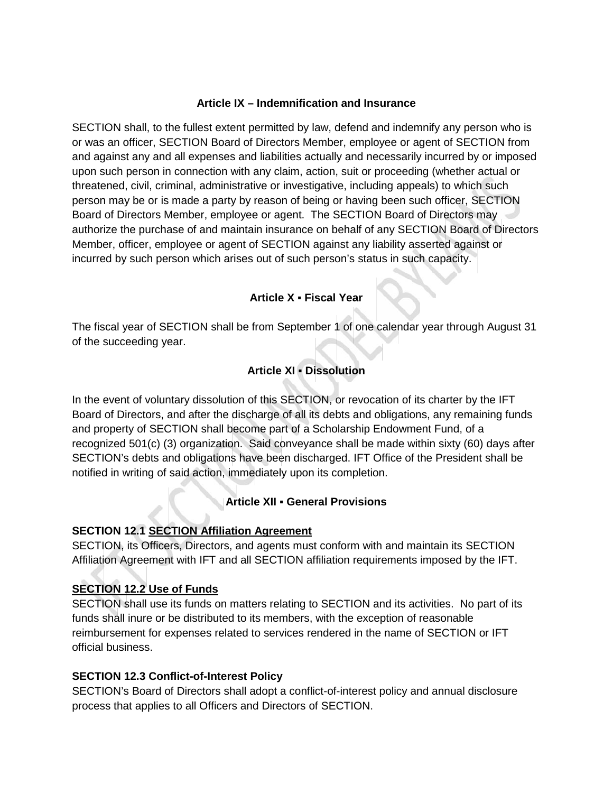## **Article IX – Indemnification and Insurance**

SECTION shall, to the fullest extent permitted by law, defend and indemnify any person who is or was an officer, SECTION Board of Directors Member, employee or agent of SECTION from and against any and all expenses and liabilities actually and necessarily incurred by or imposed upon such person in connection with any claim, action, suit or proceeding (whether actual or threatened, civil, criminal, administrative or investigative, including appeals) to which such person may be or is made a party by reason of being or having been such officer, SECTION Board of Directors Member, employee or agent. The SECTION Board of Directors may authorize the purchase of and maintain insurance on behalf of any SECTION Board of Directors Member, officer, employee or agent of SECTION against any liability asserted against or incurred by such person which arises out of such person's status in such capacity.

# **Article X Fiscal Year**

The fiscal year of SECTION shall be from September 1 of one calendar year through August 31 of the succeeding year.

# **Article XI Dissolution**

In the event of voluntary dissolution of this SECTION, or revocation of its charter by the IFT Board of Directors, and after the discharge of all its debts and obligations, any remaining funds and property of SECTION shall become part of a Scholarship Endowment Fund, of a recognized 501(c) (3) organization. Said conveyance shall be made within sixty (60) days after SECTION's debts and obligations have been discharged. IFT Office of the President shall be notified in writing of said action, immediately upon its completion.

# **Article XII General Provisions**

# **SECTION 12.1 SECTION Affiliation Agreement**

SECTION, its Officers, Directors, and agents must conform with and maintain its SECTION Affiliation Agreement with IFT and all SECTION affiliation requirements imposed by the IFT.

# **SECTION 12.2 Use of Funds**

SECTION shall use its funds on matters relating to SECTION and its activities. No part of its funds shall inure or be distributed to its members, with the exception of reasonable reimbursement for expenses related to services rendered in the name of SECTION or IFT official business.

# **SECTION 12.3 Conflict-of-Interest Policy**

SECTION's Board of Directors shall adopt a conflict-of-interest policy and annual disclosure process that applies to all Officers and Directors of SECTION.